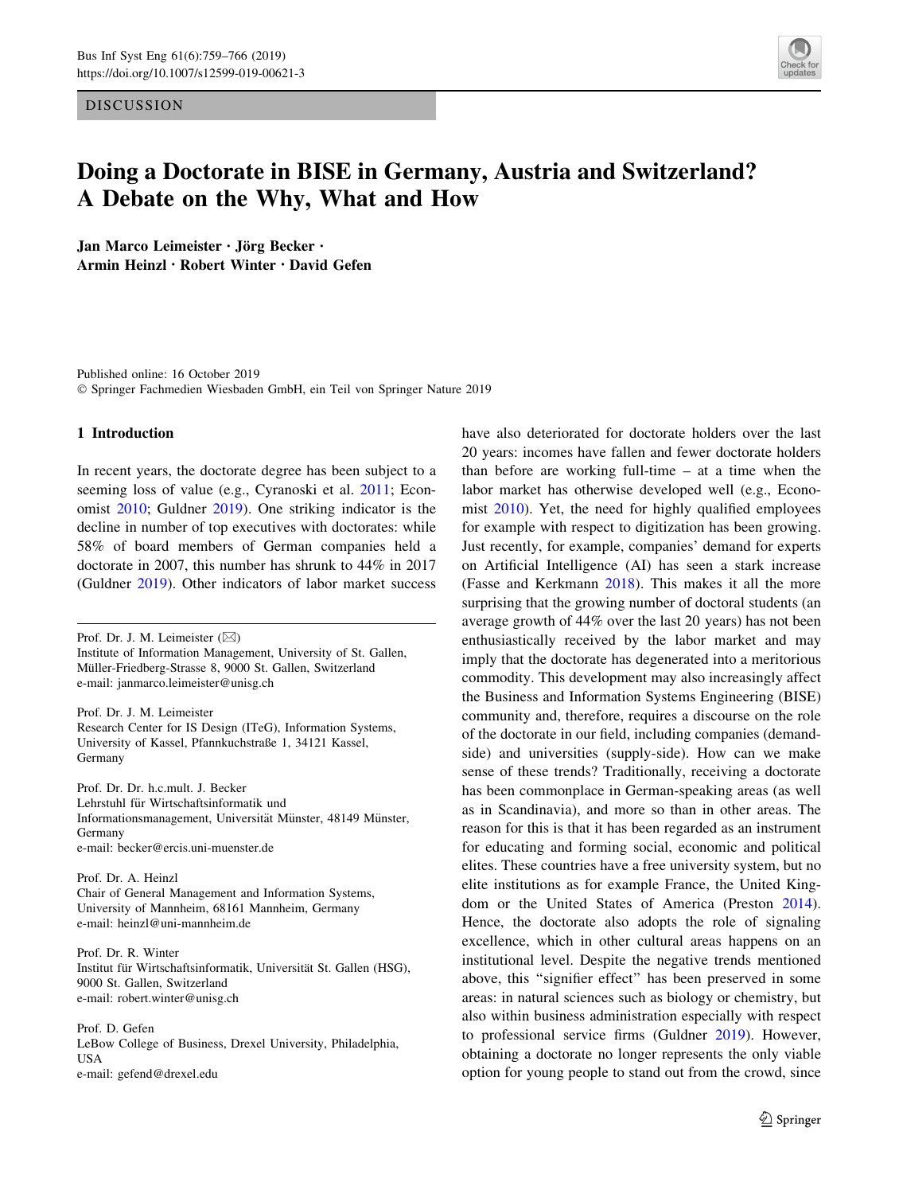#### DISCUSSION



# Doing a Doctorate in BISE in Germany, Austria and Switzerland? A Debate on the Why, What and How

Jan Marco Leimeister · Jörg Becker · Armin Heinzl • Robert Winter • David Gefen

Published online: 16 October 2019 - Springer Fachmedien Wiesbaden GmbH, ein Teil von Springer Nature 2019

#### 1 Introduction

In recent years, the doctorate degree has been subject to a seeming loss of value (e.g., Cyranoski et al. [2011;](#page-7-0) Economist [2010](#page-7-0); Guldner [2019](#page-7-0)). One striking indicator is the decline in number of top executives with doctorates: while 58% of board members of German companies held a doctorate in 2007, this number has shrunk to 44% in 2017 (Guldner [2019\)](#page-7-0). Other indicators of labor market success

Prof. Dr. J. M. Leimeister  $(\boxtimes)$ Institute of Information Management, University of St. Gallen, Müller-Friedberg-Strasse 8, 9000 St. Gallen, Switzerland e-mail: janmarco.leimeister@unisg.ch

Prof. Dr. J. M. Leimeister Research Center for IS Design (ITeG), Information Systems, University of Kassel, Pfannkuchstraße 1, 34121 Kassel, Germany

Prof. Dr. Dr. h.c.mult. J. Becker Lehrstuhl für Wirtschaftsinformatik und Informationsmanagement, Universität Münster, 48149 Münster, Germany e-mail: becker@ercis.uni-muenster.de

Prof. Dr. A. Heinzl Chair of General Management and Information Systems, University of Mannheim, 68161 Mannheim, Germany e-mail: heinzl@uni-mannheim.de

Prof. Dr. R. Winter Institut für Wirtschaftsinformatik, Universität St. Gallen (HSG), 9000 St. Gallen, Switzerland e-mail: robert.winter@unisg.ch

Prof. D. Gefen LeBow College of Business, Drexel University, Philadelphia, **USA** e-mail: gefend@drexel.edu

have also deteriorated for doctorate holders over the last 20 years: incomes have fallen and fewer doctorate holders than before are working full-time – at a time when the labor market has otherwise developed well (e.g., Economist [2010](#page-7-0)). Yet, the need for highly qualified employees for example with respect to digitization has been growing. Just recently, for example, companies' demand for experts on Artificial Intelligence (AI) has seen a stark increase (Fasse and Kerkmann [2018](#page-7-0)). This makes it all the more surprising that the growing number of doctoral students (an average growth of 44% over the last 20 years) has not been enthusiastically received by the labor market and may imply that the doctorate has degenerated into a meritorious commodity. This development may also increasingly affect the Business and Information Systems Engineering (BISE) community and, therefore, requires a discourse on the role of the doctorate in our field, including companies (demandside) and universities (supply-side). How can we make sense of these trends? Traditionally, receiving a doctorate has been commonplace in German-speaking areas (as well as in Scandinavia), and more so than in other areas. The reason for this is that it has been regarded as an instrument for educating and forming social, economic and political elites. These countries have a free university system, but no elite institutions as for example France, the United Kingdom or the United States of America (Preston [2014](#page-7-0)). Hence, the doctorate also adopts the role of signaling excellence, which in other cultural areas happens on an institutional level. Despite the negative trends mentioned above, this ''signifier effect'' has been preserved in some areas: in natural sciences such as biology or chemistry, but also within business administration especially with respect to professional service firms (Guldner [2019](#page-7-0)). However, obtaining a doctorate no longer represents the only viable option for young people to stand out from the crowd, since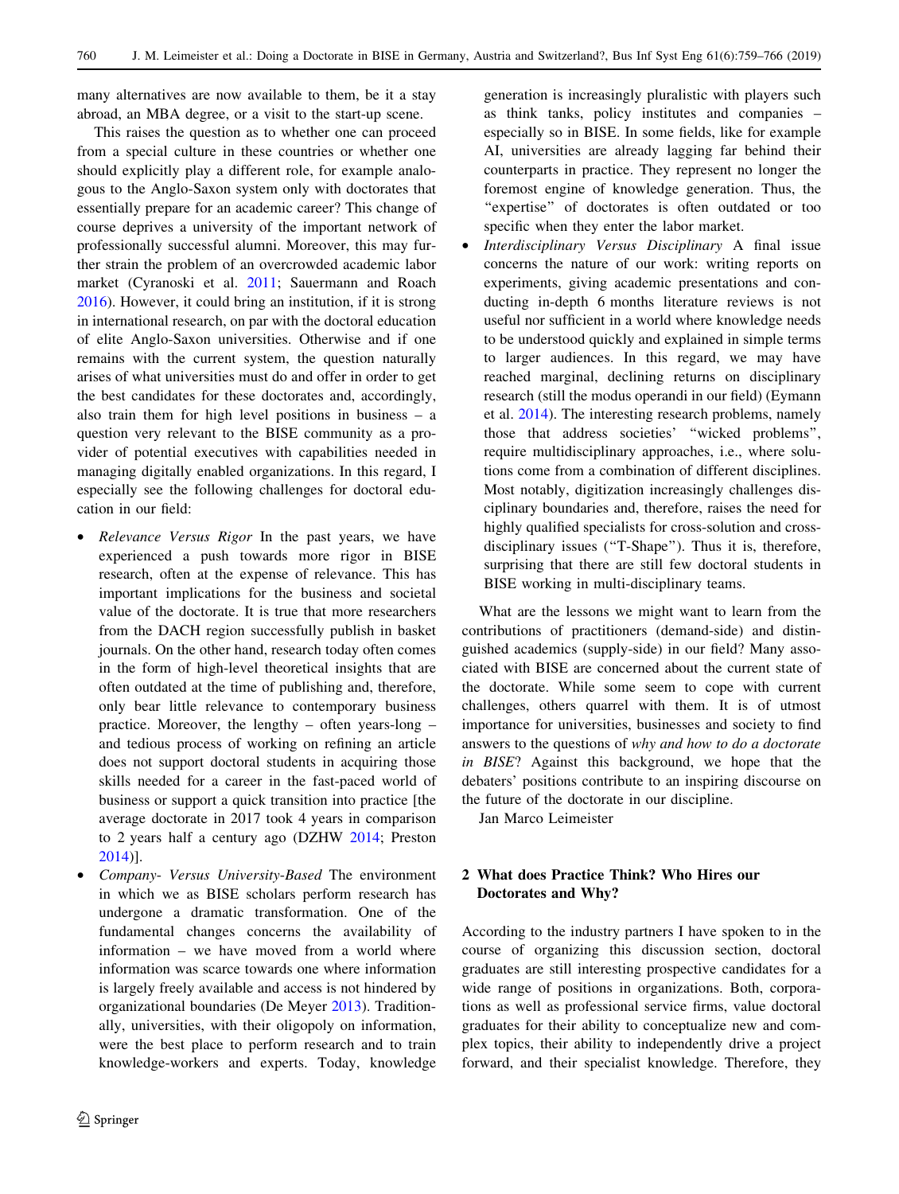many alternatives are now available to them, be it a stay abroad, an MBA degree, or a visit to the start-up scene.

This raises the question as to whether one can proceed from a special culture in these countries or whether one should explicitly play a different role, for example analogous to the Anglo-Saxon system only with doctorates that essentially prepare for an academic career? This change of course deprives a university of the important network of professionally successful alumni. Moreover, this may further strain the problem of an overcrowded academic labor market (Cyranoski et al. [2011;](#page-7-0) Sauermann and Roach [2016\)](#page-7-0). However, it could bring an institution, if it is strong in international research, on par with the doctoral education of elite Anglo-Saxon universities. Otherwise and if one remains with the current system, the question naturally arises of what universities must do and offer in order to get the best candidates for these doctorates and, accordingly, also train them for high level positions in business – a question very relevant to the BISE community as a provider of potential executives with capabilities needed in managing digitally enabled organizations. In this regard, I especially see the following challenges for doctoral education in our field:

- Relevance Versus Rigor In the past years, we have experienced a push towards more rigor in BISE research, often at the expense of relevance. This has important implications for the business and societal value of the doctorate. It is true that more researchers from the DACH region successfully publish in basket journals. On the other hand, research today often comes in the form of high-level theoretical insights that are often outdated at the time of publishing and, therefore, only bear little relevance to contemporary business practice. Moreover, the lengthy – often years-long – and tedious process of working on refining an article does not support doctoral students in acquiring those skills needed for a career in the fast-paced world of business or support a quick transition into practice [the average doctorate in 2017 took 4 years in comparison to 2 years half a century ago (DZHW [2014;](#page-7-0) Preston [2014\)](#page-7-0)].
- Company- Versus University-Based The environment in which we as BISE scholars perform research has undergone a dramatic transformation. One of the fundamental changes concerns the availability of information – we have moved from a world where information was scarce towards one where information is largely freely available and access is not hindered by organizational boundaries (De Meyer [2013\)](#page-7-0). Traditionally, universities, with their oligopoly on information, were the best place to perform research and to train knowledge-workers and experts. Today, knowledge

generation is increasingly pluralistic with players such as think tanks, policy institutes and companies – especially so in BISE. In some fields, like for example AI, universities are already lagging far behind their counterparts in practice. They represent no longer the foremost engine of knowledge generation. Thus, the "expertise" of doctorates is often outdated or too specific when they enter the labor market.

• Interdisciplinary Versus Disciplinary A final issue concerns the nature of our work: writing reports on experiments, giving academic presentations and conducting in-depth 6 months literature reviews is not useful nor sufficient in a world where knowledge needs to be understood quickly and explained in simple terms to larger audiences. In this regard, we may have reached marginal, declining returns on disciplinary research (still the modus operandi in our field) (Eymann et al. [2014](#page-7-0)). The interesting research problems, namely those that address societies' ''wicked problems'', require multidisciplinary approaches, i.e., where solutions come from a combination of different disciplines. Most notably, digitization increasingly challenges disciplinary boundaries and, therefore, raises the need for highly qualified specialists for cross-solution and crossdisciplinary issues ("T-Shape"). Thus it is, therefore, surprising that there are still few doctoral students in BISE working in multi-disciplinary teams.

What are the lessons we might want to learn from the contributions of practitioners (demand-side) and distinguished academics (supply-side) in our field? Many associated with BISE are concerned about the current state of the doctorate. While some seem to cope with current challenges, others quarrel with them. It is of utmost importance for universities, businesses and society to find answers to the questions of why and how to do a doctorate in BISE? Against this background, we hope that the debaters' positions contribute to an inspiring discourse on the future of the doctorate in our discipline.

Jan Marco Leimeister

### 2 What does Practice Think? Who Hires our Doctorates and Why?

According to the industry partners I have spoken to in the course of organizing this discussion section, doctoral graduates are still interesting prospective candidates for a wide range of positions in organizations. Both, corporations as well as professional service firms, value doctoral graduates for their ability to conceptualize new and complex topics, their ability to independently drive a project forward, and their specialist knowledge. Therefore, they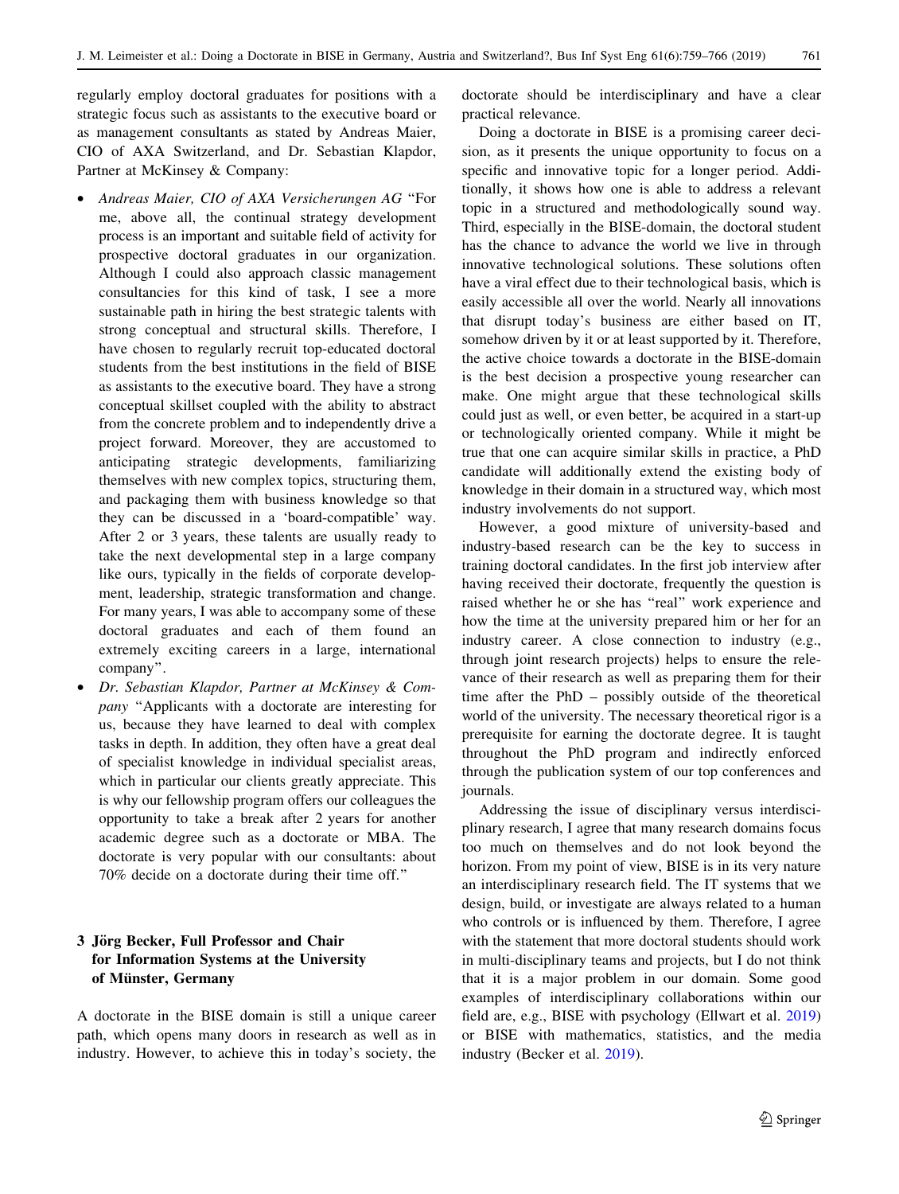regularly employ doctoral graduates for positions with a strategic focus such as assistants to the executive board or as management consultants as stated by Andreas Maier, CIO of AXA Switzerland, and Dr. Sebastian Klapdor, Partner at McKinsey & Company:

- Andreas Maier, CIO of AXA Versicherungen AG ''For me, above all, the continual strategy development process is an important and suitable field of activity for prospective doctoral graduates in our organization. Although I could also approach classic management consultancies for this kind of task, I see a more sustainable path in hiring the best strategic talents with strong conceptual and structural skills. Therefore, I have chosen to regularly recruit top-educated doctoral students from the best institutions in the field of BISE as assistants to the executive board. They have a strong conceptual skillset coupled with the ability to abstract from the concrete problem and to independently drive a project forward. Moreover, they are accustomed to anticipating strategic developments, familiarizing themselves with new complex topics, structuring them, and packaging them with business knowledge so that they can be discussed in a 'board-compatible' way. After 2 or 3 years, these talents are usually ready to take the next developmental step in a large company like ours, typically in the fields of corporate development, leadership, strategic transformation and change. For many years, I was able to accompany some of these doctoral graduates and each of them found an extremely exciting careers in a large, international company''.
- Dr. Sebastian Klapdor, Partner at McKinsey & Company ''Applicants with a doctorate are interesting for us, because they have learned to deal with complex tasks in depth. In addition, they often have a great deal of specialist knowledge in individual specialist areas, which in particular our clients greatly appreciate. This is why our fellowship program offers our colleagues the opportunity to take a break after 2 years for another academic degree such as a doctorate or MBA. The doctorate is very popular with our consultants: about 70% decide on a doctorate during their time off.''

## 3 Jörg Becker, Full Professor and Chair for Information Systems at the University of Münster, Germany

A doctorate in the BISE domain is still a unique career path, which opens many doors in research as well as in industry. However, to achieve this in today's society, the doctorate should be interdisciplinary and have a clear practical relevance.

Doing a doctorate in BISE is a promising career decision, as it presents the unique opportunity to focus on a specific and innovative topic for a longer period. Additionally, it shows how one is able to address a relevant topic in a structured and methodologically sound way. Third, especially in the BISE-domain, the doctoral student has the chance to advance the world we live in through innovative technological solutions. These solutions often have a viral effect due to their technological basis, which is easily accessible all over the world. Nearly all innovations that disrupt today's business are either based on IT, somehow driven by it or at least supported by it. Therefore, the active choice towards a doctorate in the BISE-domain is the best decision a prospective young researcher can make. One might argue that these technological skills could just as well, or even better, be acquired in a start-up or technologically oriented company. While it might be true that one can acquire similar skills in practice, a PhD candidate will additionally extend the existing body of knowledge in their domain in a structured way, which most industry involvements do not support.

However, a good mixture of university-based and industry-based research can be the key to success in training doctoral candidates. In the first job interview after having received their doctorate, frequently the question is raised whether he or she has ''real'' work experience and how the time at the university prepared him or her for an industry career. A close connection to industry (e.g., through joint research projects) helps to ensure the relevance of their research as well as preparing them for their time after the PhD – possibly outside of the theoretical world of the university. The necessary theoretical rigor is a prerequisite for earning the doctorate degree. It is taught throughout the PhD program and indirectly enforced through the publication system of our top conferences and journals.

Addressing the issue of disciplinary versus interdisciplinary research, I agree that many research domains focus too much on themselves and do not look beyond the horizon. From my point of view, BISE is in its very nature an interdisciplinary research field. The IT systems that we design, build, or investigate are always related to a human who controls or is influenced by them. Therefore, I agree with the statement that more doctoral students should work in multi-disciplinary teams and projects, but I do not think that it is a major problem in our domain. Some good examples of interdisciplinary collaborations within our field are, e.g., BISE with psychology (Ellwart et al. [2019\)](#page-7-0) or BISE with mathematics, statistics, and the media industry (Becker et al. [2019\)](#page-7-0).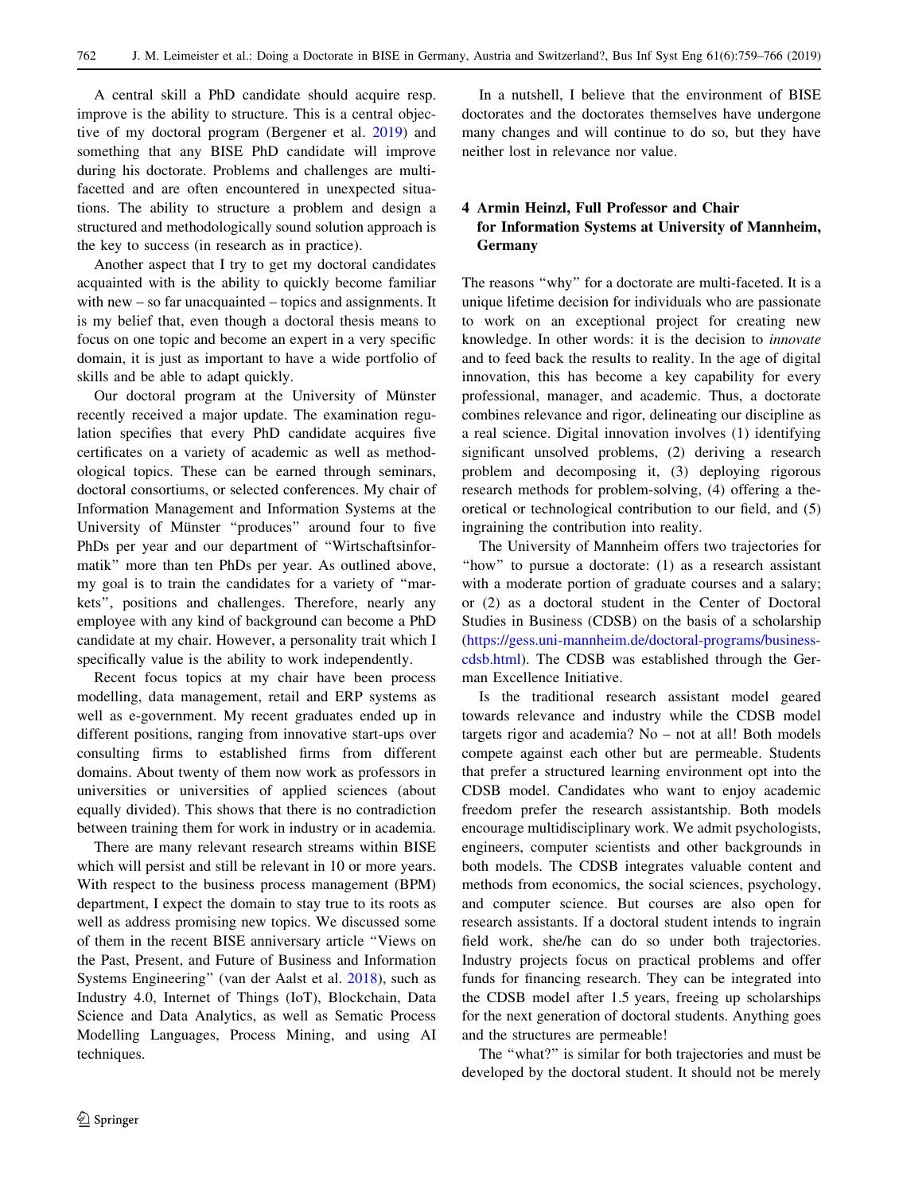A central skill a PhD candidate should acquire resp. improve is the ability to structure. This is a central objective of my doctoral program (Bergener et al. [2019\)](#page-7-0) and something that any BISE PhD candidate will improve during his doctorate. Problems and challenges are multifacetted and are often encountered in unexpected situations. The ability to structure a problem and design a structured and methodologically sound solution approach is the key to success (in research as in practice).

Another aspect that I try to get my doctoral candidates acquainted with is the ability to quickly become familiar with new – so far unacquainted – topics and assignments. It is my belief that, even though a doctoral thesis means to focus on one topic and become an expert in a very specific domain, it is just as important to have a wide portfolio of skills and be able to adapt quickly.

Our doctoral program at the University of Münster recently received a major update. The examination regulation specifies that every PhD candidate acquires five certificates on a variety of academic as well as methodological topics. These can be earned through seminars, doctoral consortiums, or selected conferences. My chair of Information Management and Information Systems at the University of Münster "produces" around four to five PhDs per year and our department of ''Wirtschaftsinformatik'' more than ten PhDs per year. As outlined above, my goal is to train the candidates for a variety of ''markets'', positions and challenges. Therefore, nearly any employee with any kind of background can become a PhD candidate at my chair. However, a personality trait which I specifically value is the ability to work independently.

Recent focus topics at my chair have been process modelling, data management, retail and ERP systems as well as e-government. My recent graduates ended up in different positions, ranging from innovative start-ups over consulting firms to established firms from different domains. About twenty of them now work as professors in universities or universities of applied sciences (about equally divided). This shows that there is no contradiction between training them for work in industry or in academia.

There are many relevant research streams within BISE which will persist and still be relevant in 10 or more years. With respect to the business process management (BPM) department, I expect the domain to stay true to its roots as well as address promising new topics. We discussed some of them in the recent BISE anniversary article ''Views on the Past, Present, and Future of Business and Information Systems Engineering'' (van der Aalst et al. [2018](#page-7-0)), such as Industry 4.0, Internet of Things (IoT), Blockchain, Data Science and Data Analytics, as well as Sematic Process Modelling Languages, Process Mining, and using AI techniques.

In a nutshell, I believe that the environment of BISE doctorates and the doctorates themselves have undergone many changes and will continue to do so, but they have neither lost in relevance nor value.

# 4 Armin Heinzl, Full Professor and Chair for Information Systems at University of Mannheim, Germany

The reasons ''why'' for a doctorate are multi-faceted. It is a unique lifetime decision for individuals who are passionate to work on an exceptional project for creating new knowledge. In other words: it is the decision to innovate and to feed back the results to reality. In the age of digital innovation, this has become a key capability for every professional, manager, and academic. Thus, a doctorate combines relevance and rigor, delineating our discipline as a real science. Digital innovation involves (1) identifying significant unsolved problems, (2) deriving a research problem and decomposing it, (3) deploying rigorous research methods for problem-solving, (4) offering a theoretical or technological contribution to our field, and (5) ingraining the contribution into reality.

The University of Mannheim offers two trajectories for "how" to pursue a doctorate: (1) as a research assistant with a moderate portion of graduate courses and a salary; or (2) as a doctoral student in the Center of Doctoral Studies in Business (CDSB) on the basis of a scholarship [\(https://gess.uni-mannheim.de/doctoral-programs/business](https://gess.uni-mannheim.de/doctoral-programs/business-cdsb.html)[cdsb.html](https://gess.uni-mannheim.de/doctoral-programs/business-cdsb.html)). The CDSB was established through the German Excellence Initiative.

Is the traditional research assistant model geared towards relevance and industry while the CDSB model targets rigor and academia? No – not at all! Both models compete against each other but are permeable. Students that prefer a structured learning environment opt into the CDSB model. Candidates who want to enjoy academic freedom prefer the research assistantship. Both models encourage multidisciplinary work. We admit psychologists, engineers, computer scientists and other backgrounds in both models. The CDSB integrates valuable content and methods from economics, the social sciences, psychology, and computer science. But courses are also open for research assistants. If a doctoral student intends to ingrain field work, she/he can do so under both trajectories. Industry projects focus on practical problems and offer funds for financing research. They can be integrated into the CDSB model after 1.5 years, freeing up scholarships for the next generation of doctoral students. Anything goes and the structures are permeable!

The ''what?'' is similar for both trajectories and must be developed by the doctoral student. It should not be merely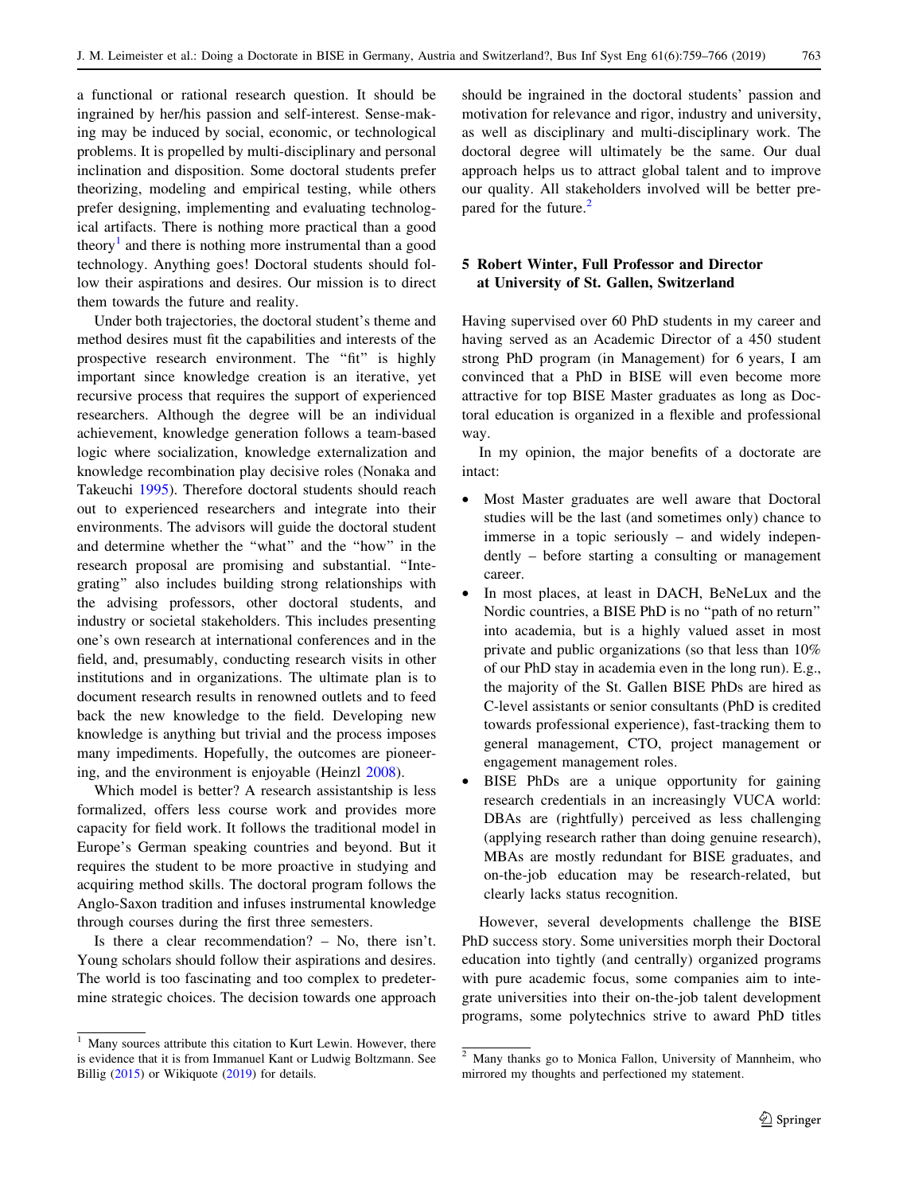a functional or rational research question. It should be ingrained by her/his passion and self-interest. Sense-making may be induced by social, economic, or technological problems. It is propelled by multi-disciplinary and personal inclination and disposition. Some doctoral students prefer theorizing, modeling and empirical testing, while others prefer designing, implementing and evaluating technological artifacts. There is nothing more practical than a good theory<sup>1</sup> and there is nothing more instrumental than a good technology. Anything goes! Doctoral students should follow their aspirations and desires. Our mission is to direct them towards the future and reality.

Under both trajectories, the doctoral student's theme and method desires must fit the capabilities and interests of the prospective research environment. The "fit" is highly important since knowledge creation is an iterative, yet recursive process that requires the support of experienced researchers. Although the degree will be an individual achievement, knowledge generation follows a team-based logic where socialization, knowledge externalization and knowledge recombination play decisive roles (Nonaka and Takeuchi [1995\)](#page-7-0). Therefore doctoral students should reach out to experienced researchers and integrate into their environments. The advisors will guide the doctoral student and determine whether the ''what'' and the ''how'' in the research proposal are promising and substantial. ''Integrating'' also includes building strong relationships with the advising professors, other doctoral students, and industry or societal stakeholders. This includes presenting one's own research at international conferences and in the field, and, presumably, conducting research visits in other institutions and in organizations. The ultimate plan is to document research results in renowned outlets and to feed back the new knowledge to the field. Developing new knowledge is anything but trivial and the process imposes many impediments. Hopefully, the outcomes are pioneering, and the environment is enjoyable (Heinzl [2008\)](#page-7-0).

Which model is better? A research assistantship is less formalized, offers less course work and provides more capacity for field work. It follows the traditional model in Europe's German speaking countries and beyond. But it requires the student to be more proactive in studying and acquiring method skills. The doctoral program follows the Anglo-Saxon tradition and infuses instrumental knowledge through courses during the first three semesters.

Is there a clear recommendation? – No, there isn't. Young scholars should follow their aspirations and desires. The world is too fascinating and too complex to predetermine strategic choices. The decision towards one approach should be ingrained in the doctoral students' passion and motivation for relevance and rigor, industry and university, as well as disciplinary and multi-disciplinary work. The doctoral degree will ultimately be the same. Our dual approach helps us to attract global talent and to improve our quality. All stakeholders involved will be better prepared for the future.<sup>2</sup>

#### 5 Robert Winter, Full Professor and Director at University of St. Gallen, Switzerland

Having supervised over 60 PhD students in my career and having served as an Academic Director of a 450 student strong PhD program (in Management) for 6 years, I am convinced that a PhD in BISE will even become more attractive for top BISE Master graduates as long as Doctoral education is organized in a flexible and professional way.

In my opinion, the major benefits of a doctorate are intact:

- Most Master graduates are well aware that Doctoral studies will be the last (and sometimes only) chance to immerse in a topic seriously – and widely independently – before starting a consulting or management career.
- In most places, at least in DACH, BeNeLux and the Nordic countries, a BISE PhD is no ''path of no return'' into academia, but is a highly valued asset in most private and public organizations (so that less than 10% of our PhD stay in academia even in the long run). E.g., the majority of the St. Gallen BISE PhDs are hired as C-level assistants or senior consultants (PhD is credited towards professional experience), fast-tracking them to general management, CTO, project management or engagement management roles.
- BISE PhDs are a unique opportunity for gaining research credentials in an increasingly VUCA world: DBAs are (rightfully) perceived as less challenging (applying research rather than doing genuine research), MBAs are mostly redundant for BISE graduates, and on-the-job education may be research-related, but clearly lacks status recognition.

However, several developments challenge the BISE PhD success story. Some universities morph their Doctoral education into tightly (and centrally) organized programs with pure academic focus, some companies aim to integrate universities into their on-the-job talent development programs, some polytechnics strive to award PhD titles

<sup>&</sup>lt;sup>1</sup> Many sources attribute this citation to Kurt Lewin. However, there is evidence that it is from Immanuel Kant or Ludwig Boltzmann. See Billig [\(2015](#page-7-0)) or Wikiquote [\(2019](#page-7-0)) for details.

<sup>2</sup> Many thanks go to Monica Fallon, University of Mannheim, who mirrored my thoughts and perfectioned my statement.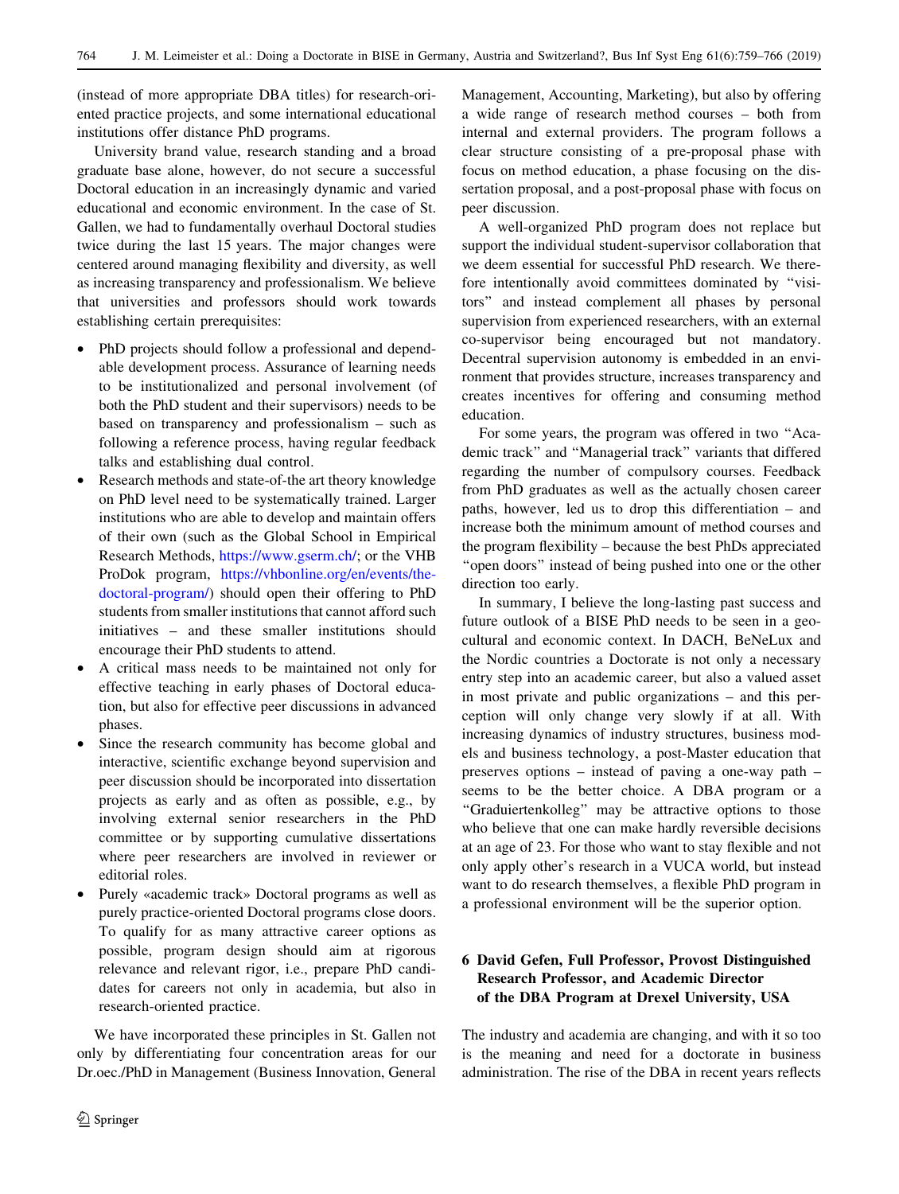(instead of more appropriate DBA titles) for research-oriented practice projects, and some international educational institutions offer distance PhD programs.

University brand value, research standing and a broad graduate base alone, however, do not secure a successful Doctoral education in an increasingly dynamic and varied educational and economic environment. In the case of St. Gallen, we had to fundamentally overhaul Doctoral studies twice during the last 15 years. The major changes were centered around managing flexibility and diversity, as well as increasing transparency and professionalism. We believe that universities and professors should work towards establishing certain prerequisites:

- PhD projects should follow a professional and dependable development process. Assurance of learning needs to be institutionalized and personal involvement (of both the PhD student and their supervisors) needs to be based on transparency and professionalism – such as following a reference process, having regular feedback talks and establishing dual control.
- Research methods and state-of-the art theory knowledge on PhD level need to be systematically trained. Larger institutions who are able to develop and maintain offers of their own (such as the Global School in Empirical Research Methods, <https://www.gserm.ch/>; or the VHB ProDok program, [https://vhbonline.org/en/events/the](https://vhbonline.org/en/events/the-doctoral-program/)[doctoral-program/](https://vhbonline.org/en/events/the-doctoral-program/)) should open their offering to PhD students from smaller institutions that cannot afford such initiatives – and these smaller institutions should encourage their PhD students to attend.
- A critical mass needs to be maintained not only for effective teaching in early phases of Doctoral education, but also for effective peer discussions in advanced phases.
- Since the research community has become global and interactive, scientific exchange beyond supervision and peer discussion should be incorporated into dissertation projects as early and as often as possible, e.g., by involving external senior researchers in the PhD committee or by supporting cumulative dissertations where peer researchers are involved in reviewer or editorial roles.
- Purely «academic track» Doctoral programs as well as purely practice-oriented Doctoral programs close doors. To qualify for as many attractive career options as possible, program design should aim at rigorous relevance and relevant rigor, i.e., prepare PhD candidates for careers not only in academia, but also in research-oriented practice.

We have incorporated these principles in St. Gallen not only by differentiating four concentration areas for our Dr.oec./PhD in Management (Business Innovation, General Management, Accounting, Marketing), but also by offering a wide range of research method courses – both from internal and external providers. The program follows a clear structure consisting of a pre-proposal phase with focus on method education, a phase focusing on the dissertation proposal, and a post-proposal phase with focus on peer discussion.

A well-organized PhD program does not replace but support the individual student-supervisor collaboration that we deem essential for successful PhD research. We therefore intentionally avoid committees dominated by ''visitors'' and instead complement all phases by personal supervision from experienced researchers, with an external co-supervisor being encouraged but not mandatory. Decentral supervision autonomy is embedded in an environment that provides structure, increases transparency and creates incentives for offering and consuming method education.

For some years, the program was offered in two "Academic track'' and ''Managerial track'' variants that differed regarding the number of compulsory courses. Feedback from PhD graduates as well as the actually chosen career paths, however, led us to drop this differentiation – and increase both the minimum amount of method courses and the program flexibility – because the best PhDs appreciated "open doors" instead of being pushed into one or the other direction too early.

In summary, I believe the long-lasting past success and future outlook of a BISE PhD needs to be seen in a geocultural and economic context. In DACH, BeNeLux and the Nordic countries a Doctorate is not only a necessary entry step into an academic career, but also a valued asset in most private and public organizations – and this perception will only change very slowly if at all. With increasing dynamics of industry structures, business models and business technology, a post-Master education that preserves options – instead of paving a one-way path – seems to be the better choice. A DBA program or a "Graduiertenkolleg" may be attractive options to those who believe that one can make hardly reversible decisions at an age of 23. For those who want to stay flexible and not only apply other's research in a VUCA world, but instead want to do research themselves, a flexible PhD program in a professional environment will be the superior option.

### 6 David Gefen, Full Professor, Provost Distinguished Research Professor, and Academic Director of the DBA Program at Drexel University, USA

The industry and academia are changing, and with it so too is the meaning and need for a doctorate in business administration. The rise of the DBA in recent years reflects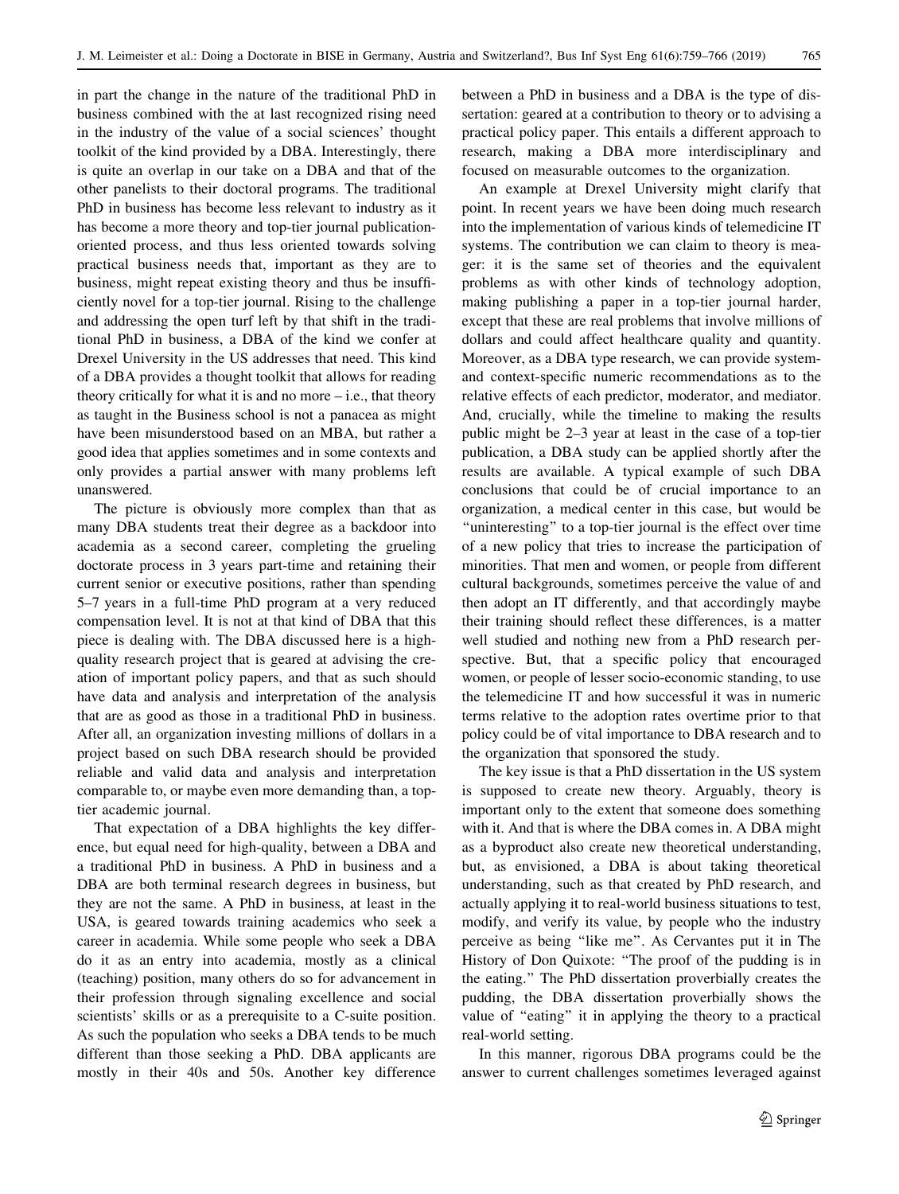in part the change in the nature of the traditional PhD in business combined with the at last recognized rising need in the industry of the value of a social sciences' thought toolkit of the kind provided by a DBA. Interestingly, there is quite an overlap in our take on a DBA and that of the other panelists to their doctoral programs. The traditional PhD in business has become less relevant to industry as it has become a more theory and top-tier journal publicationoriented process, and thus less oriented towards solving practical business needs that, important as they are to business, might repeat existing theory and thus be insufficiently novel for a top-tier journal. Rising to the challenge and addressing the open turf left by that shift in the traditional PhD in business, a DBA of the kind we confer at Drexel University in the US addresses that need. This kind of a DBA provides a thought toolkit that allows for reading theory critically for what it is and no more  $-$  i.e., that theory as taught in the Business school is not a panacea as might have been misunderstood based on an MBA, but rather a good idea that applies sometimes and in some contexts and only provides a partial answer with many problems left unanswered.

The picture is obviously more complex than that as many DBA students treat their degree as a backdoor into academia as a second career, completing the grueling doctorate process in 3 years part-time and retaining their current senior or executive positions, rather than spending 5–7 years in a full-time PhD program at a very reduced compensation level. It is not at that kind of DBA that this piece is dealing with. The DBA discussed here is a highquality research project that is geared at advising the creation of important policy papers, and that as such should have data and analysis and interpretation of the analysis that are as good as those in a traditional PhD in business. After all, an organization investing millions of dollars in a project based on such DBA research should be provided reliable and valid data and analysis and interpretation comparable to, or maybe even more demanding than, a toptier academic journal.

That expectation of a DBA highlights the key difference, but equal need for high-quality, between a DBA and a traditional PhD in business. A PhD in business and a DBA are both terminal research degrees in business, but they are not the same. A PhD in business, at least in the USA, is geared towards training academics who seek a career in academia. While some people who seek a DBA do it as an entry into academia, mostly as a clinical (teaching) position, many others do so for advancement in their profession through signaling excellence and social scientists' skills or as a prerequisite to a C-suite position. As such the population who seeks a DBA tends to be much different than those seeking a PhD. DBA applicants are mostly in their 40s and 50s. Another key difference between a PhD in business and a DBA is the type of dissertation: geared at a contribution to theory or to advising a practical policy paper. This entails a different approach to research, making a DBA more interdisciplinary and focused on measurable outcomes to the organization.

An example at Drexel University might clarify that point. In recent years we have been doing much research into the implementation of various kinds of telemedicine IT systems. The contribution we can claim to theory is meager: it is the same set of theories and the equivalent problems as with other kinds of technology adoption, making publishing a paper in a top-tier journal harder, except that these are real problems that involve millions of dollars and could affect healthcare quality and quantity. Moreover, as a DBA type research, we can provide systemand context-specific numeric recommendations as to the relative effects of each predictor, moderator, and mediator. And, crucially, while the timeline to making the results public might be 2–3 year at least in the case of a top-tier publication, a DBA study can be applied shortly after the results are available. A typical example of such DBA conclusions that could be of crucial importance to an organization, a medical center in this case, but would be ''uninteresting'' to a top-tier journal is the effect over time of a new policy that tries to increase the participation of minorities. That men and women, or people from different cultural backgrounds, sometimes perceive the value of and then adopt an IT differently, and that accordingly maybe their training should reflect these differences, is a matter well studied and nothing new from a PhD research perspective. But, that a specific policy that encouraged women, or people of lesser socio-economic standing, to use the telemedicine IT and how successful it was in numeric terms relative to the adoption rates overtime prior to that policy could be of vital importance to DBA research and to the organization that sponsored the study.

The key issue is that a PhD dissertation in the US system is supposed to create new theory. Arguably, theory is important only to the extent that someone does something with it. And that is where the DBA comes in. A DBA might as a byproduct also create new theoretical understanding, but, as envisioned, a DBA is about taking theoretical understanding, such as that created by PhD research, and actually applying it to real-world business situations to test, modify, and verify its value, by people who the industry perceive as being ''like me''. As Cervantes put it in The History of Don Quixote: ''The proof of the pudding is in the eating.'' The PhD dissertation proverbially creates the pudding, the DBA dissertation proverbially shows the value of "eating" it in applying the theory to a practical real-world setting.

In this manner, rigorous DBA programs could be the answer to current challenges sometimes leveraged against